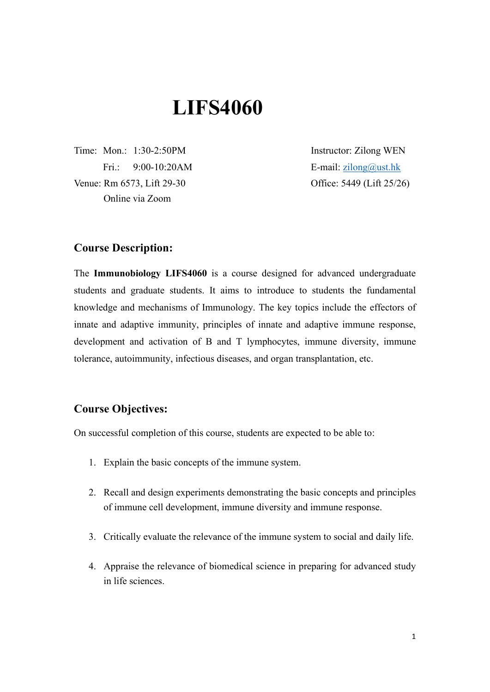# **LIFS4060**

Venue: Rm 6573, Lift 29-30 **Office: 5449 (Lift 25/26)** Online via Zoom

Time: Mon.: 1:30-2:50PM Instructor: Zilong WEN Fri.: 9:00-10:20AM E-mail: [zilong@ust.hk](mailto:zilong@ust.hk)

### **Course Description:**

The **Immunobiology LIFS4060** is a course designed for advanced undergraduate students and graduate students. It aims to introduce to students the fundamental knowledge and mechanisms of Immunology. The key topics include the effectors of innate and adaptive immunity, principles of innate and adaptive immune response, development and activation of B and T lymphocytes, immune diversity, immune tolerance, autoimmunity, infectious diseases, and organ transplantation, etc.

### **Course Objectives:**

On successful completion of this course, students are expected to be able to:

- 1. Explain the basic concepts of the immune system.
- 2. Recall and design experiments demonstrating the basic concepts and principles of immune cell development, immune diversity and immune response.
- 3. Critically evaluate the relevance of the immune system to social and daily life.
- 4. Appraise the relevance of biomedical science in preparing for advanced study in life sciences.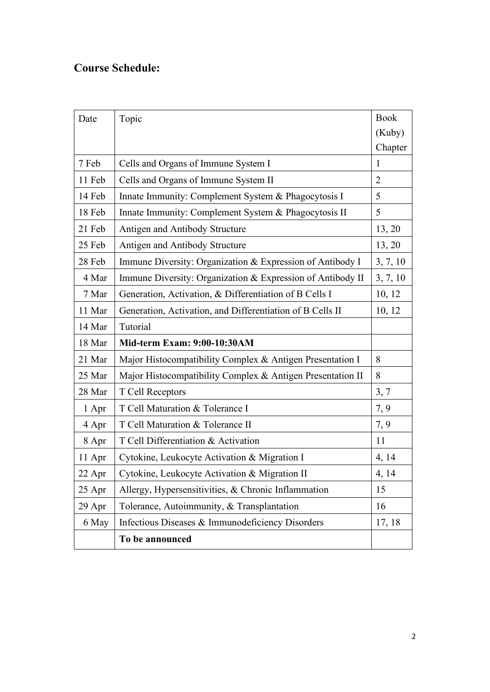# **Course Schedule:**

| Date   | Topic                                                      | <b>Book</b>    |
|--------|------------------------------------------------------------|----------------|
|        |                                                            | (Kuby)         |
|        |                                                            | Chapter        |
| 7 Feb  | Cells and Organs of Immune System I                        | 1              |
| 11 Feb | Cells and Organs of Immune System II                       | $\overline{2}$ |
| 14 Feb | Innate Immunity: Complement System & Phagocytosis I        | 5              |
| 18 Feb | Innate Immunity: Complement System & Phagocytosis II       | 5              |
| 21 Feb | Antigen and Antibody Structure                             | 13, 20         |
| 25 Feb | Antigen and Antibody Structure                             | 13, 20         |
| 28 Feb | Immune Diversity: Organization & Expression of Antibody I  | 3, 7, 10       |
| 4 Mar  | Immune Diversity: Organization & Expression of Antibody II | 3, 7, 10       |
| 7 Mar  | Generation, Activation, & Differentiation of B Cells I     | 10, 12         |
| 11 Mar | Generation, Activation, and Differentiation of B Cells II  | 10, 12         |
| 14 Mar | Tutorial                                                   |                |
| 18 Mar | <b>Mid-term Exam: 9:00-10:30AM</b>                         |                |
| 21 Mar | Major Histocompatibility Complex & Antigen Presentation I  | 8              |
| 25 Mar | Major Histocompatibility Complex & Antigen Presentation II | 8              |
| 28 Mar | T Cell Receptors                                           | 3, 7           |
| 1 Apr  | T Cell Maturation & Tolerance I                            | 7, 9           |
| 4 Apr  | T Cell Maturation & Tolerance II                           | 7, 9           |
| 8 Apr  | T Cell Differentiation & Activation                        | 11             |
| 11 Apr | Cytokine, Leukocyte Activation & Migration I               | 4, 14          |
| 22 Apr | Cytokine, Leukocyte Activation & Migration II              | 4, 14          |
| 25 Apr | Allergy, Hypersensitivities, & Chronic Inflammation        | 15             |
| 29 Apr | Tolerance, Autoimmunity, & Transplantation                 | 16             |
| 6 May  | Infectious Diseases & Immunodeficiency Disorders           | 17, 18         |
|        | To be announced                                            |                |